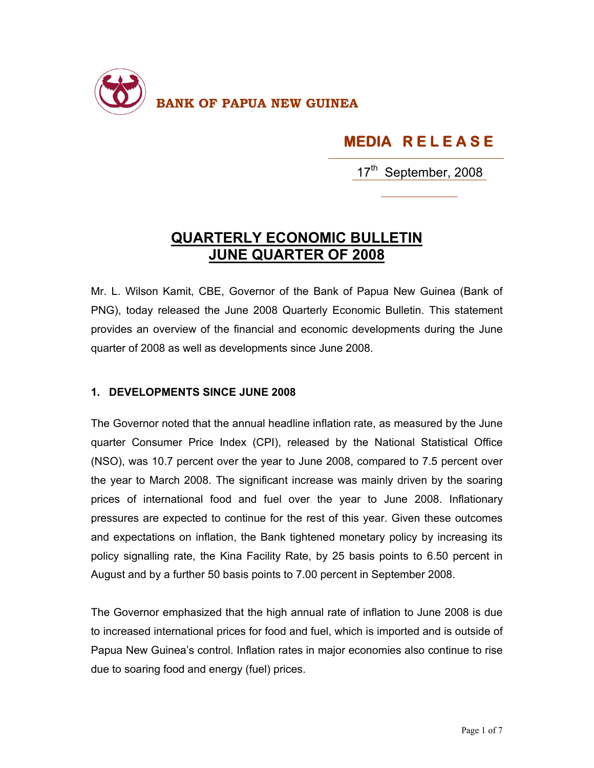

## **MEDIA R E L E A S E**

17<sup>th</sup> September, 2008

## **QUARTERLY ECONOMIC BULLETIN JUNE QUARTER OF 2008**

Mr. L. Wilson Kamit, CBE, Governor of the Bank of Papua New Guinea (Bank of PNG), today released the June 2008 Quarterly Economic Bulletin. This statement provides an overview of the financial and economic developments during the June quarter of 2008 as well as developments since June 2008.

## **1. DEVELOPMENTS SINCE JUNE 2008**

The Governor noted that the annual headline inflation rate, as measured by the June quarter Consumer Price Index (CPI), released by the National Statistical Office (NSO), was 10.7 percent over the year to June 2008, compared to 7.5 percent over the year to March 2008. The significant increase was mainly driven by the soaring prices of international food and fuel over the year to June 2008. Inflationary pressures are expected to continue for the rest of this year. Given these outcomes and expectations on inflation, the Bank tightened monetary policy by increasing its policy signalling rate, the Kina Facility Rate, by 25 basis points to 6.50 percent in August and by a further 50 basis points to 7.00 percent in September 2008.

The Governor emphasized that the high annual rate of inflation to June 2008 is due to increased international prices for food and fuel, which is imported and is outside of Papua New Guinea's control. Inflation rates in major economies also continue to rise due to soaring food and energy (fuel) prices.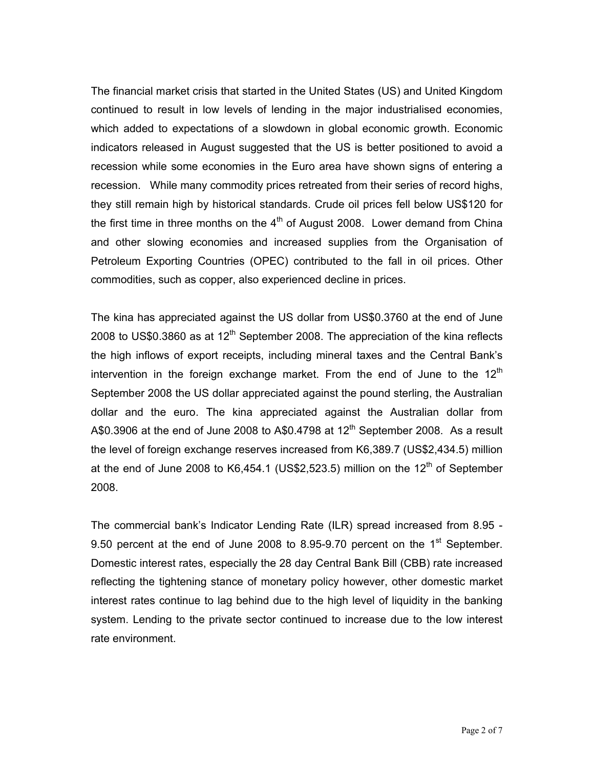The financial market crisis that started in the United States (US) and United Kingdom continued to result in low levels of lending in the major industrialised economies, which added to expectations of a slowdown in global economic growth. Economic indicators released in August suggested that the US is better positioned to avoid a recession while some economies in the Euro area have shown signs of entering a recession. While many commodity prices retreated from their series of record highs, they still remain high by historical standards. Crude oil prices fell below US\$120 for the first time in three months on the  $4<sup>th</sup>$  of August 2008. Lower demand from China and other slowing economies and increased supplies from the Organisation of Petroleum Exporting Countries (OPEC) contributed to the fall in oil prices. Other commodities, such as copper, also experienced decline in prices.

The kina has appreciated against the US dollar from US\$0.3760 at the end of June 2008 to US\$0.3860 as at  $12<sup>th</sup>$  September 2008. The appreciation of the kina reflects the high inflows of export receipts, including mineral taxes and the Central Bank's intervention in the foreign exchange market. From the end of June to the  $12<sup>th</sup>$ September 2008 the US dollar appreciated against the pound sterling, the Australian dollar and the euro. The kina appreciated against the Australian dollar from A\$0.3906 at the end of June 2008 to A\$0.4798 at  $12<sup>th</sup>$  September 2008. As a result the level of foreign exchange reserves increased from K6,389.7 (US\$2,434.5) million at the end of June 2008 to K6,454.1 (US\$2,523.5) million on the  $12<sup>th</sup>$  of September 2008.

The commercial bank's Indicator Lending Rate (ILR) spread increased from 8.95 - 9.50 percent at the end of June 2008 to 8.95-9.70 percent on the 1<sup>st</sup> September. Domestic interest rates, especially the 28 day Central Bank Bill (CBB) rate increased reflecting the tightening stance of monetary policy however, other domestic market interest rates continue to lag behind due to the high level of liquidity in the banking system. Lending to the private sector continued to increase due to the low interest rate environment.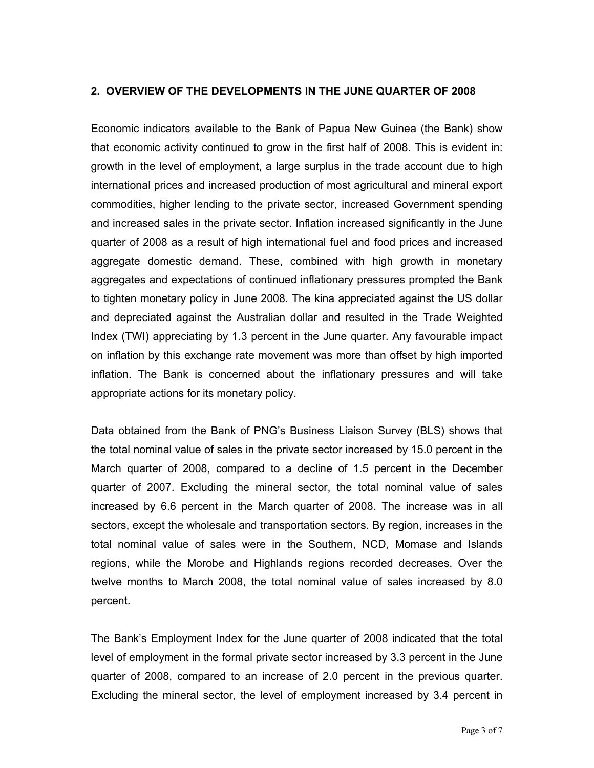## **2. OVERVIEW OF THE DEVELOPMENTS IN THE JUNE QUARTER OF 2008**

Economic indicators available to the Bank of Papua New Guinea (the Bank) show that economic activity continued to grow in the first half of 2008. This is evident in: growth in the level of employment, a large surplus in the trade account due to high international prices and increased production of most agricultural and mineral export commodities, higher lending to the private sector, increased Government spending and increased sales in the private sector. Inflation increased significantly in the June quarter of 2008 as a result of high international fuel and food prices and increased aggregate domestic demand. These, combined with high growth in monetary aggregates and expectations of continued inflationary pressures prompted the Bank to tighten monetary policy in June 2008. The kina appreciated against the US dollar and depreciated against the Australian dollar and resulted in the Trade Weighted Index (TWI) appreciating by 1.3 percent in the June quarter. Any favourable impact on inflation by this exchange rate movement was more than offset by high imported inflation. The Bank is concerned about the inflationary pressures and will take appropriate actions for its monetary policy.

Data obtained from the Bank of PNG's Business Liaison Survey (BLS) shows that the total nominal value of sales in the private sector increased by 15.0 percent in the March quarter of 2008, compared to a decline of 1.5 percent in the December quarter of 2007. Excluding the mineral sector, the total nominal value of sales increased by 6.6 percent in the March quarter of 2008. The increase was in all sectors, except the wholesale and transportation sectors. By region, increases in the total nominal value of sales were in the Southern, NCD, Momase and Islands regions, while the Morobe and Highlands regions recorded decreases. Over the twelve months to March 2008, the total nominal value of sales increased by 8.0 percent.

The Bank's Employment Index for the June quarter of 2008 indicated that the total level of employment in the formal private sector increased by 3.3 percent in the June quarter of 2008, compared to an increase of 2.0 percent in the previous quarter. Excluding the mineral sector, the level of employment increased by 3.4 percent in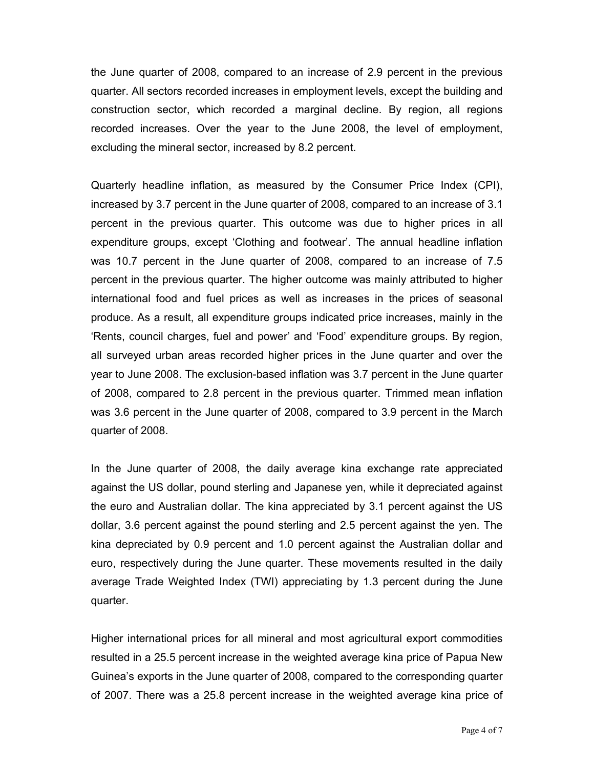the June quarter of 2008, compared to an increase of 2.9 percent in the previous quarter. All sectors recorded increases in employment levels, except the building and construction sector, which recorded a marginal decline. By region, all regions recorded increases. Over the year to the June 2008, the level of employment, excluding the mineral sector, increased by 8.2 percent.

Quarterly headline inflation, as measured by the Consumer Price Index (CPI), increased by 3.7 percent in the June quarter of 2008, compared to an increase of 3.1 percent in the previous quarter. This outcome was due to higher prices in all expenditure groups, except 'Clothing and footwear'. The annual headline inflation was 10.7 percent in the June quarter of 2008, compared to an increase of 7.5 percent in the previous quarter. The higher outcome was mainly attributed to higher international food and fuel prices as well as increases in the prices of seasonal produce. As a result, all expenditure groups indicated price increases, mainly in the 'Rents, council charges, fuel and power' and 'Food' expenditure groups. By region, all surveyed urban areas recorded higher prices in the June quarter and over the year to June 2008. The exclusion-based inflation was 3.7 percent in the June quarter of 2008, compared to 2.8 percent in the previous quarter. Trimmed mean inflation was 3.6 percent in the June quarter of 2008, compared to 3.9 percent in the March quarter of 2008.

In the June quarter of 2008, the daily average kina exchange rate appreciated against the US dollar, pound sterling and Japanese yen, while it depreciated against the euro and Australian dollar. The kina appreciated by 3.1 percent against the US dollar, 3.6 percent against the pound sterling and 2.5 percent against the yen. The kina depreciated by 0.9 percent and 1.0 percent against the Australian dollar and euro, respectively during the June quarter. These movements resulted in the daily average Trade Weighted Index (TWI) appreciating by 1.3 percent during the June quarter.

Higher international prices for all mineral and most agricultural export commodities resulted in a 25.5 percent increase in the weighted average kina price of Papua New Guinea's exports in the June quarter of 2008, compared to the corresponding quarter of 2007. There was a 25.8 percent increase in the weighted average kina price of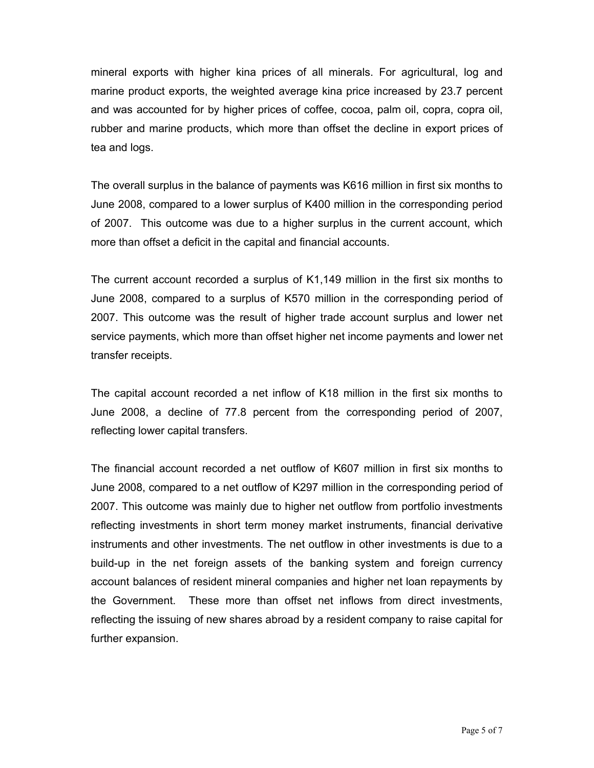mineral exports with higher kina prices of all minerals. For agricultural, log and marine product exports, the weighted average kina price increased by 23.7 percent and was accounted for by higher prices of coffee, cocoa, palm oil, copra, copra oil, rubber and marine products, which more than offset the decline in export prices of tea and logs.

The overall surplus in the balance of payments was K616 million in first six months to June 2008, compared to a lower surplus of K400 million in the corresponding period of 2007. This outcome was due to a higher surplus in the current account, which more than offset a deficit in the capital and financial accounts.

The current account recorded a surplus of K1,149 million in the first six months to June 2008, compared to a surplus of K570 million in the corresponding period of 2007. This outcome was the result of higher trade account surplus and lower net service payments, which more than offset higher net income payments and lower net transfer receipts.

The capital account recorded a net inflow of K18 million in the first six months to June 2008, a decline of 77.8 percent from the corresponding period of 2007, reflecting lower capital transfers.

The financial account recorded a net outflow of K607 million in first six months to June 2008, compared to a net outflow of K297 million in the corresponding period of 2007. This outcome was mainly due to higher net outflow from portfolio investments reflecting investments in short term money market instruments, financial derivative instruments and other investments. The net outflow in other investments is due to a build-up in the net foreign assets of the banking system and foreign currency account balances of resident mineral companies and higher net loan repayments by the Government. These more than offset net inflows from direct investments, reflecting the issuing of new shares abroad by a resident company to raise capital for further expansion.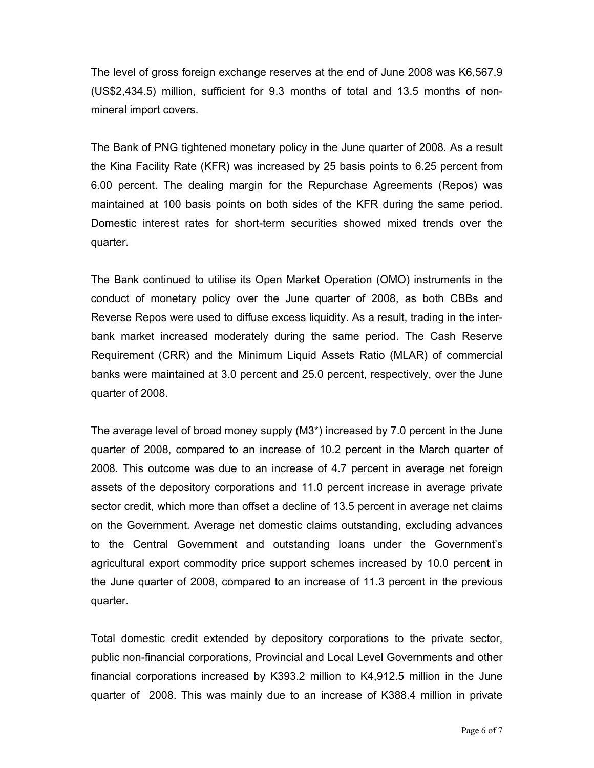The level of gross foreign exchange reserves at the end of June 2008 was K6,567.9 (US\$2,434.5) million, sufficient for 9.3 months of total and 13.5 months of nonmineral import covers.

The Bank of PNG tightened monetary policy in the June quarter of 2008. As a result the Kina Facility Rate (KFR) was increased by 25 basis points to 6.25 percent from 6.00 percent. The dealing margin for the Repurchase Agreements (Repos) was maintained at 100 basis points on both sides of the KFR during the same period. Domestic interest rates for short-term securities showed mixed trends over the quarter.

The Bank continued to utilise its Open Market Operation (OMO) instruments in the conduct of monetary policy over the June quarter of 2008, as both CBBs and Reverse Repos were used to diffuse excess liquidity. As a result, trading in the interbank market increased moderately during the same period. The Cash Reserve Requirement (CRR) and the Minimum Liquid Assets Ratio (MLAR) of commercial banks were maintained at 3.0 percent and 25.0 percent, respectively, over the June quarter of 2008.

The average level of broad money supply (M3\*) increased by 7.0 percent in the June quarter of 2008, compared to an increase of 10.2 percent in the March quarter of 2008. This outcome was due to an increase of 4.7 percent in average net foreign assets of the depository corporations and 11.0 percent increase in average private sector credit, which more than offset a decline of 13.5 percent in average net claims on the Government. Average net domestic claims outstanding, excluding advances to the Central Government and outstanding loans under the Government's agricultural export commodity price support schemes increased by 10.0 percent in the June quarter of 2008, compared to an increase of 11.3 percent in the previous quarter.

Total domestic credit extended by depository corporations to the private sector, public non-financial corporations, Provincial and Local Level Governments and other financial corporations increased by K393.2 million to K4,912.5 million in the June quarter of 2008. This was mainly due to an increase of K388.4 million in private